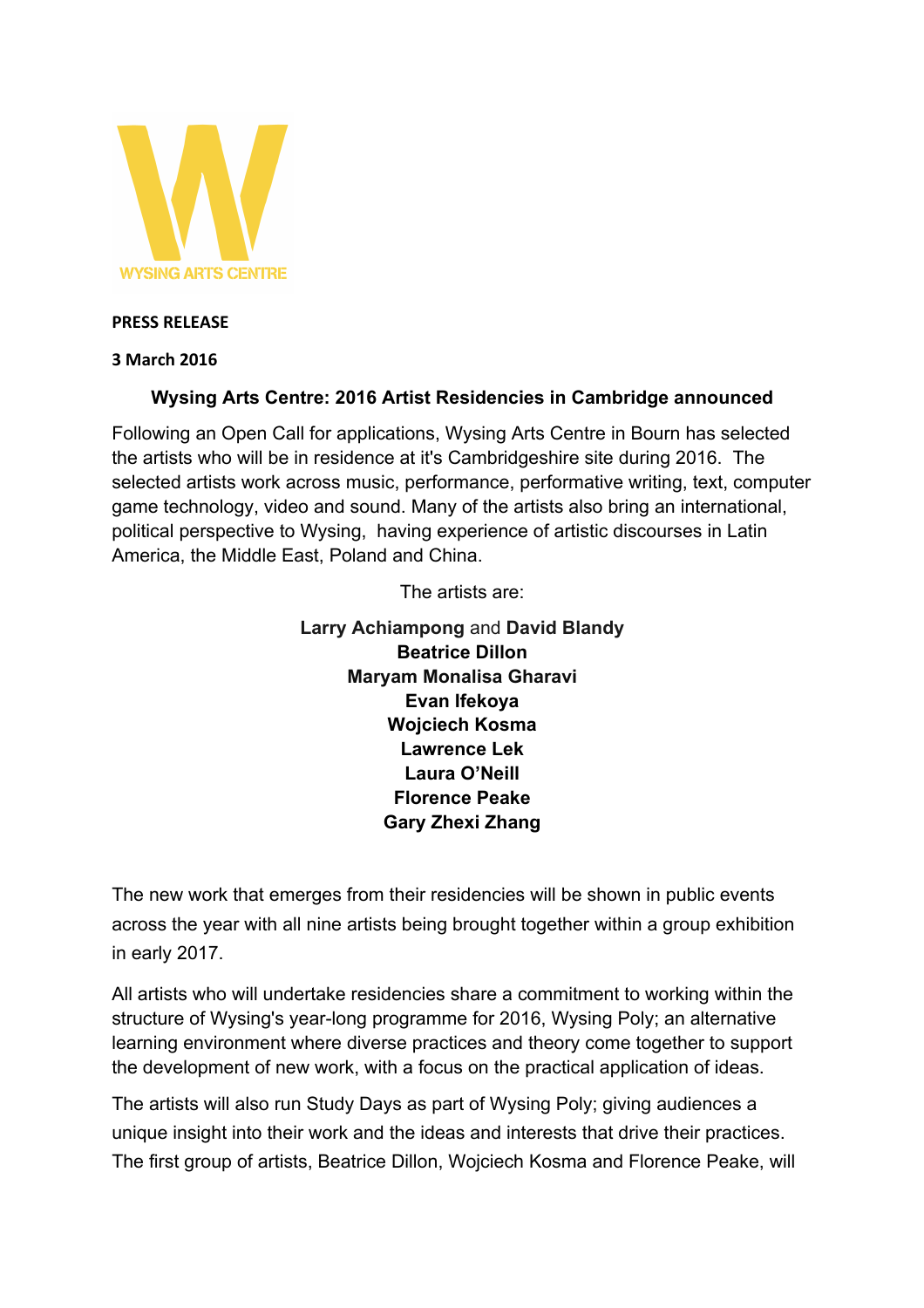

#### **PRESS RELEASE**

#### **3 March 2016**

### **Wysing Arts Centre: 2016 Artist Residencies in Cambridge announced**

Following an Open Call for applications, Wysing Arts Centre in Bourn has selected the artists who will be in residence at it's Cambridgeshire site during 2016. The selected artists work across music, performance, performative writing, text, computer game technology, video and sound. Many of the artists also bring an international, political perspective to Wysing, having experience of artistic discourses in Latin America, the Middle East, Poland and China.

The artists are:

**Larry Achiampong** and **David Blandy Beatrice Dillon Maryam Monalisa Gharavi Evan Ifekoya Wojciech Kosma Lawrence Lek Laura O'Neill Florence Peake Gary Zhexi Zhang**

The new work that emerges from their residencies will be shown in public events across the year with all nine artists being brought together within a group exhibition in early 2017.

All artists who will undertake residencies share a commitment to working within the structure of Wysing's year-long programme for 2016, Wysing Poly; an alternative learning environment where diverse practices and theory come together to support the development of new work, with a focus on the practical application of ideas.

The artists will also run Study Days as part of Wysing Poly; giving audiences a unique insight into their work and the ideas and interests that drive their practices. The first group of artists, Beatrice Dillon, Wojciech Kosma and Florence Peake, will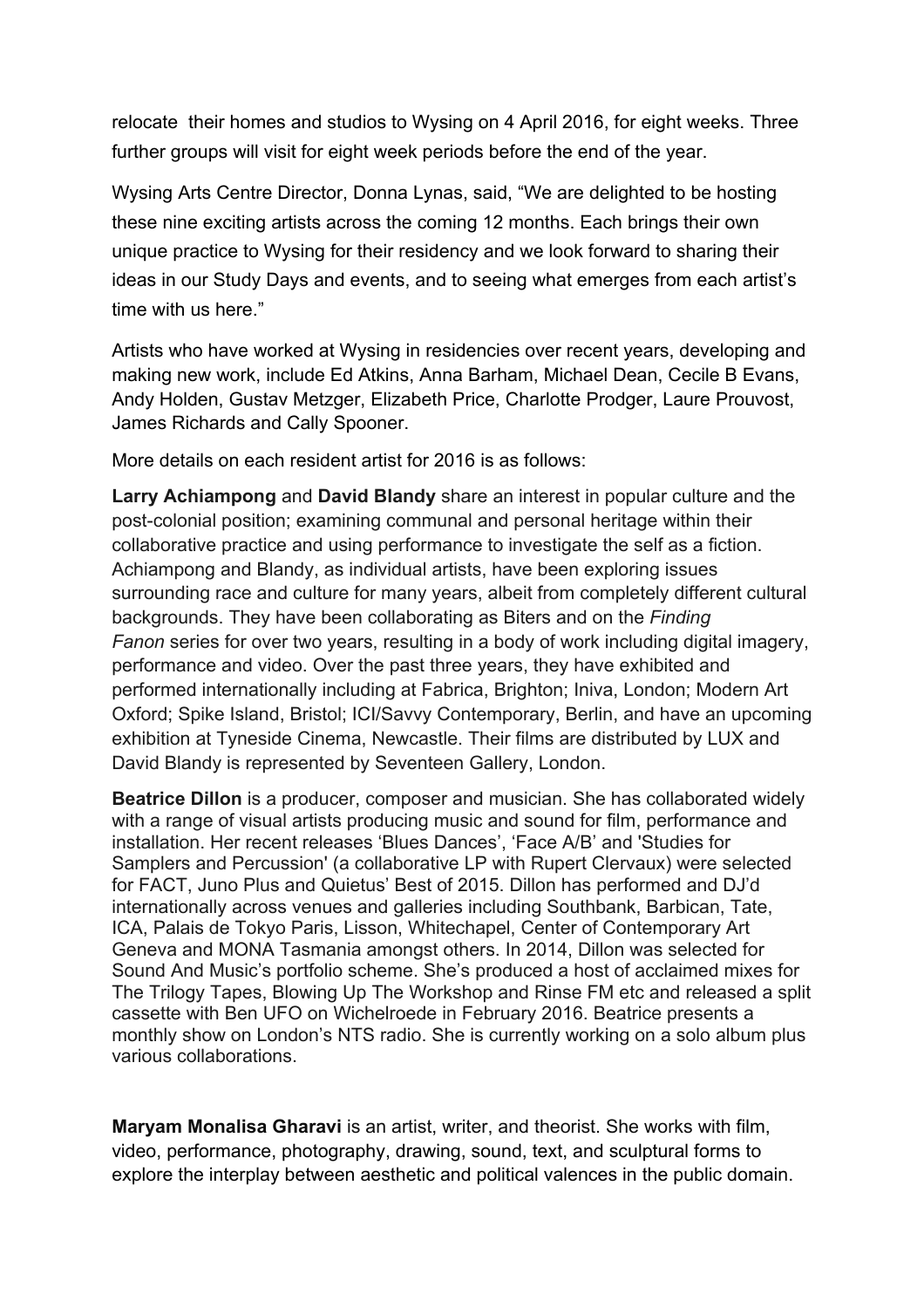relocate their homes and studios to Wysing on 4 April 2016, for eight weeks. Three further groups will visit for eight week periods before the end of the year.

Wysing Arts Centre Director, Donna Lynas, said, "We are delighted to be hosting these nine exciting artists across the coming 12 months. Each brings their own unique practice to Wysing for their residency and we look forward to sharing their ideas in our Study Days and events, and to seeing what emerges from each artist's time with us here."

Artists who have worked at Wysing in residencies over recent years, developing and making new work, include Ed Atkins, Anna Barham, Michael Dean, Cecile B Evans, Andy Holden, Gustav Metzger, Elizabeth Price, Charlotte Prodger, Laure Prouvost, James Richards and Cally Spooner.

More details on each resident artist for 2016 is as follows:

**Larry Achiampong** and **David Blandy** share an interest in popular culture and the post-colonial position; examining communal and personal heritage within their collaborative practice and using performance to investigate the self as a fiction. Achiampong and Blandy, as individual artists, have been exploring issues surrounding race and culture for many years, albeit from completely different cultural backgrounds. They have been collaborating as Biters and on the *Finding Fanon* series for over two years, resulting in a body of work including digital imagery, performance and video. Over the past three years, they have exhibited and performed internationally including at Fabrica, Brighton; Iniva, London; Modern Art Oxford; Spike Island, Bristol; ICI/Savvy Contemporary, Berlin, and have an upcoming exhibition at Tyneside Cinema, Newcastle. Their films are distributed by LUX and David Blandy is represented by Seventeen Gallery, London.

**Beatrice Dillon** is a producer, composer and musician. She has collaborated widely with a range of visual artists producing music and sound for film, performance and installation. Her recent releases 'Blues Dances', 'Face A/B' and 'Studies for Samplers and Percussion' (a collaborative LP with Rupert Clervaux) were selected for FACT, Juno Plus and Quietus' Best of 2015. Dillon has performed and DJ'd internationally across venues and galleries including Southbank, Barbican, Tate, ICA, Palais de Tokyo Paris, Lisson, Whitechapel, Center of Contemporary Art Geneva and MONA Tasmania amongst others. In 2014, Dillon was selected for Sound And Music's portfolio scheme. She's produced a host of acclaimed mixes for The Trilogy Tapes, Blowing Up The Workshop and Rinse FM etc and released a split cassette with Ben UFO on Wichelroede in February 2016. Beatrice presents a monthly show on London's NTS radio. She is currently working on a solo album plus various collaborations.

**Maryam Monalisa Gharavi** is an artist, writer, and theorist. She works with film, video, performance, photography, drawing, sound, text, and sculptural forms to explore the interplay between aesthetic and political valences in the public domain.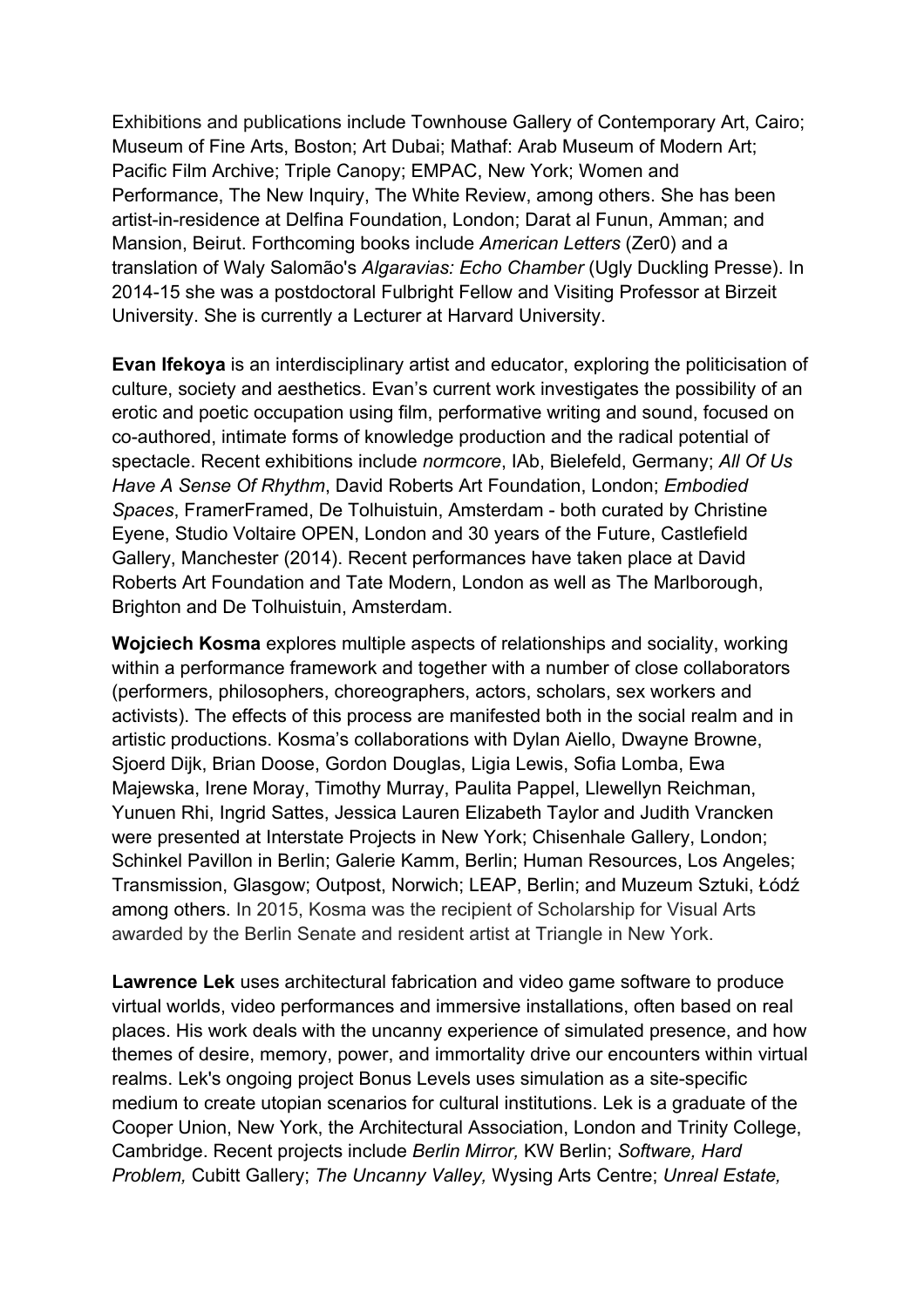Exhibitions and publications include Townhouse Gallery of Contemporary Art, Cairo; Museum of Fine Arts, Boston; Art Dubai; Mathaf: Arab Museum of Modern Art; Pacific Film Archive; Triple Canopy; EMPAC, New York; Women and Performance, The New Inquiry, The White Review, among others. She has been artist-in-residence at Delfina Foundation, London; Darat al Funun, Amman; and Mansion, Beirut. Forthcoming books include *American Letters* (Zer0) and a translation of Waly Salomão's *Algaravias: Echo Chamber* (Ugly Duckling Presse). In 2014-15 she was a postdoctoral Fulbright Fellow and Visiting Professor at Birzeit University. She is currently a Lecturer at Harvard University.

**Evan Ifekoya** is an interdisciplinary artist and educator, exploring the politicisation of culture, society and aesthetics. Evan's current work investigates the possibility of an erotic and poetic occupation using film, performative writing and sound, focused on co-authored, intimate forms of knowledge production and the radical potential of spectacle. Recent exhibitions include *normcore*, IAb, Bielefeld, Germany; *All Of Us Have A Sense Of Rhythm*, David Roberts Art Foundation, London; *Embodied Spaces*, FramerFramed, De Tolhuistuin, Amsterdam - both curated by Christine Eyene, Studio Voltaire OPEN, London and 30 years of the Future, Castlefield Gallery, Manchester (2014). Recent performances have taken place at David Roberts Art Foundation and Tate Modern, London as well as The Marlborough, Brighton and De Tolhuistuin, Amsterdam.

**Wojciech Kosma** explores multiple aspects of relationships and sociality, working within a performance framework and together with a number of close collaborators (performers, philosophers, choreographers, actors, scholars, sex workers and activists). The effects of this process are manifested both in the social realm and in artistic productions. Kosma's collaborations with Dylan Aiello, Dwayne Browne, Sjoerd Dijk, Brian Doose, Gordon Douglas, Ligia Lewis, Sofia Lomba, Ewa Majewska, Irene Moray, Timothy Murray, Paulita Pappel, Llewellyn Reichman, Yunuen Rhi, Ingrid Sattes, Jessica Lauren Elizabeth Taylor and Judith Vrancken were presented at Interstate Projects in New York; Chisenhale Gallery, London; Schinkel Pavillon in Berlin; Galerie Kamm, Berlin; Human Resources, Los Angeles; Transmission, Glasgow; Outpost, Norwich; LEAP, Berlin; and Muzeum Sztuki, Łódź among others. In 2015, Kosma was the recipient of Scholarship for Visual Arts awarded by the Berlin Senate and resident artist at Triangle in New York.

**Lawrence Lek** uses architectural fabrication and video game software to produce virtual worlds, video performances and immersive installations, often based on real places. His work deals with the uncanny experience of simulated presence, and how themes of desire, memory, power, and immortality drive our encounters within virtual realms. Lek's ongoing project Bonus Levels uses simulation as a site-specific medium to create utopian scenarios for cultural institutions. Lek is a graduate of the Cooper Union, New York, the Architectural Association, London and Trinity College, Cambridge. Recent projects include *Berlin Mirror,* KW Berlin; *Software, Hard Problem,* Cubitt Gallery; *The Uncanny Valley,* Wysing Arts Centre; *Unreal Estate,*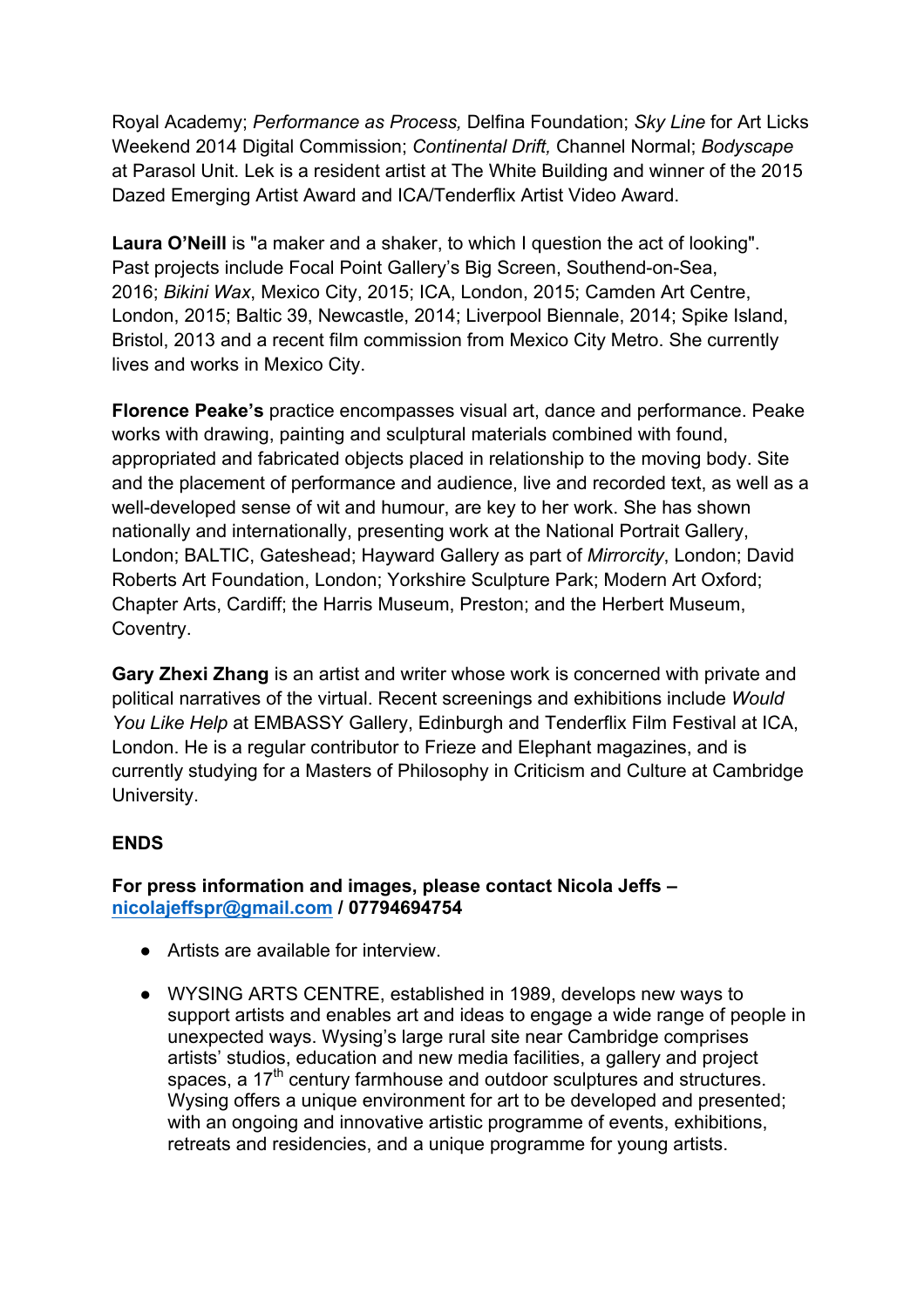Royal Academy; *Performance as Process,* Delfina Foundation; *Sky Line* for Art Licks Weekend 2014 Digital Commission; *Continental Drift,* Channel Normal; *Bodyscape* at Parasol Unit. Lek is a resident artist at The White Building and winner of the 2015 Dazed Emerging Artist Award and ICA/Tenderflix Artist Video Award.

**Laura O'Neill** is "a maker and a shaker, to which I question the act of looking". Past projects include Focal Point Gallery's Big Screen, Southend-on-Sea, 2016; *Bikini Wax*, Mexico City, 2015; ICA, London, 2015; Camden Art Centre, London, 2015; Baltic 39, Newcastle, 2014; Liverpool Biennale, 2014; Spike Island, Bristol, 2013 and a recent film commission from Mexico City Metro. She currently lives and works in Mexico City.

**Florence Peake's** practice encompasses visual art, dance and performance. Peake works with drawing, painting and sculptural materials combined with found, appropriated and fabricated objects placed in relationship to the moving body. Site and the placement of performance and audience, live and recorded text, as well as a well-developed sense of wit and humour, are key to her work. She has shown nationally and internationally, presenting work at the National Portrait Gallery, London; BALTIC, Gateshead; Hayward Gallery as part of *Mirrorcity*, London; David Roberts Art Foundation, London; Yorkshire Sculpture Park; Modern Art Oxford; Chapter Arts, Cardiff; the Harris Museum, Preston; and the Herbert Museum, Coventry.

**Gary Zhexi Zhang** is an artist and writer whose work is concerned with private and political narratives of the virtual. Recent screenings and exhibitions include *Would You Like Help* at EMBASSY Gallery, Edinburgh and Tenderflix Film Festival at ICA, London. He is a regular contributor to Frieze and Elephant magazines, and is currently studying for a Masters of Philosophy in Criticism and Culture at Cambridge University.

## **ENDS**

**For press information and images, please contact Nicola Jeffs – nicolajeffspr@gmail.com / 07794694754** 

- Artists are available for interview
- WYSING ARTS CENTRE, established in 1989, develops new ways to support artists and enables art and ideas to engage a wide range of people in unexpected ways. Wysing's large rural site near Cambridge comprises artists' studios, education and new media facilities, a gallery and project spaces, a 17<sup>th</sup> century farmhouse and outdoor sculptures and structures. Wysing offers a unique environment for art to be developed and presented; with an ongoing and innovative artistic programme of events, exhibitions, retreats and residencies, and a unique programme for young artists.